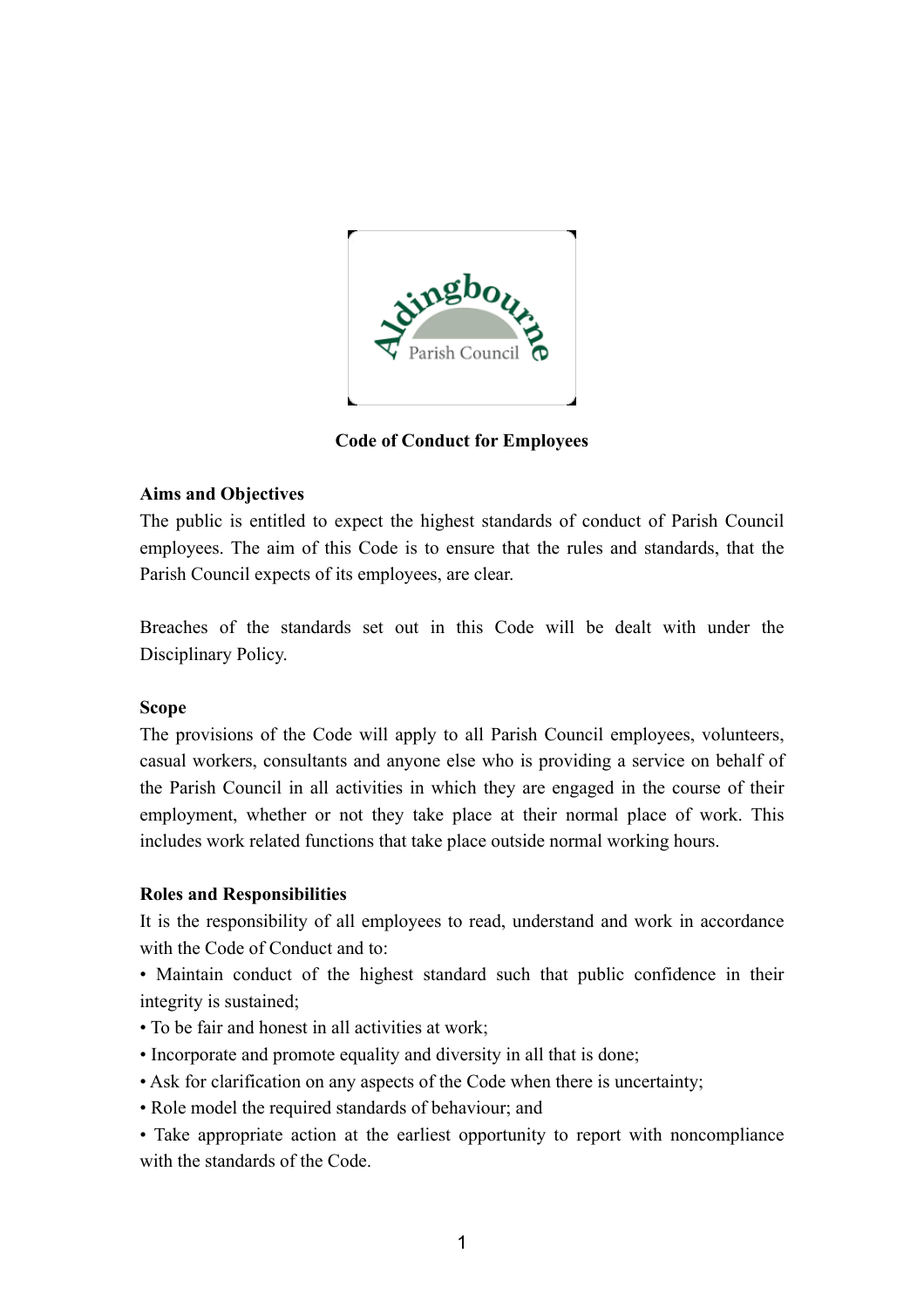

**Code of Conduct for Employees**

## **Aims and Objectives**

The public is entitled to expect the highest standards of conduct of Parish Council employees. The aim of this Code is to ensure that the rules and standards, that the Parish Council expects of its employees, are clear.

Breaches of the standards set out in this Code will be dealt with under the Disciplinary Policy.

### **Scope**

The provisions of the Code will apply to all Parish Council employees, volunteers, casual workers, consultants and anyone else who is providing a service on behalf of the Parish Council in all activities in which they are engaged in the course of their employment, whether or not they take place at their normal place of work. This includes work related functions that take place outside normal working hours.

# **Roles and Responsibilities**

It is the responsibility of all employees to read, understand and work in accordance with the Code of Conduct and to:

• Maintain conduct of the highest standard such that public confidence in their integrity is sustained;

- To be fair and honest in all activities at work;
- Incorporate and promote equality and diversity in all that is done;
- Ask for clarification on any aspects of the Code when there is uncertainty;
- Role model the required standards of behaviour; and
- Take appropriate action at the earliest opportunity to report with noncompliance with the standards of the Code.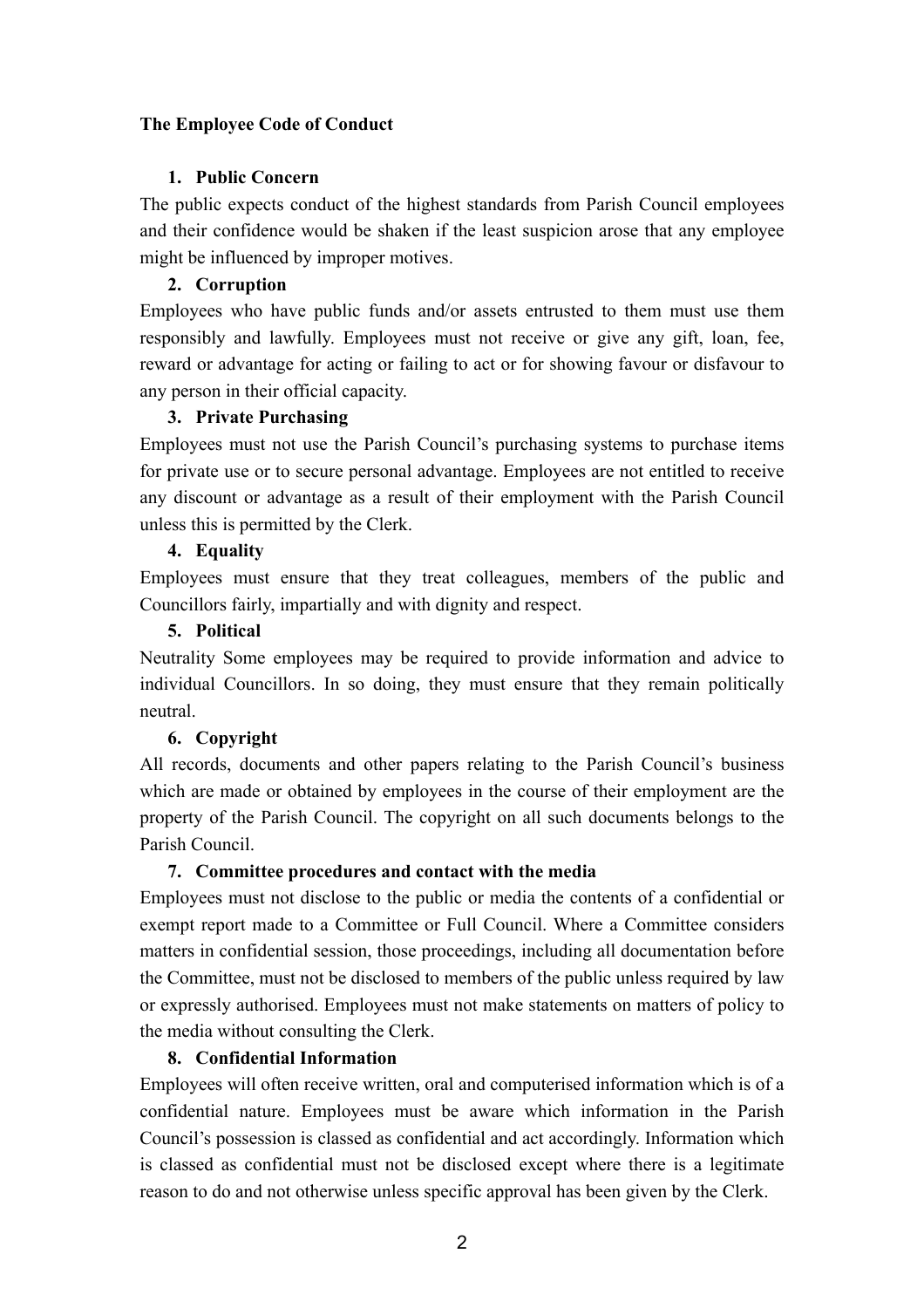# **The Employee Code of Conduct**

## **1. Public Concern**

The public expects conduct of the highest standards from Parish Council employees and their confidence would be shaken if the least suspicion arose that any employee might be influenced by improper motives.

# **2. Corruption**

Employees who have public funds and/or assets entrusted to them must use them responsibly and lawfully. Employees must not receive or give any gift, loan, fee, reward or advantage for acting or failing to act or for showing favour or disfavour to any person in their official capacity.

## **3. Private Purchasing**

Employees must not use the Parish Council's purchasing systems to purchase items for private use or to secure personal advantage. Employees are not entitled to receive any discount or advantage as a result of their employment with the Parish Council unless this is permitted by the Clerk.

# **4. Equality**

Employees must ensure that they treat colleagues, members of the public and Councillors fairly, impartially and with dignity and respect.

## **5. Political**

Neutrality Some employees may be required to provide information and advice to individual Councillors. In so doing, they must ensure that they remain politically neutral.

# **6. Copyright**

All records, documents and other papers relating to the Parish Council's business which are made or obtained by employees in the course of their employment are the property of the Parish Council. The copyright on all such documents belongs to the Parish Council.

### **7. Committee procedures and contact with the media**

Employees must not disclose to the public or media the contents of a confidential or exempt report made to a Committee or Full Council. Where a Committee considers matters in confidential session, those proceedings, including all documentation before the Committee, must not be disclosed to members of the public unless required by law or expressly authorised. Employees must not make statements on matters of policy to the media without consulting the Clerk.

### **8. Confidential Information**

Employees will often receive written, oral and computerised information which is of a confidential nature. Employees must be aware which information in the Parish Council's possession is classed as confidential and act accordingly. Information which is classed as confidential must not be disclosed except where there is a legitimate reason to do and not otherwise unless specific approval has been given by the Clerk.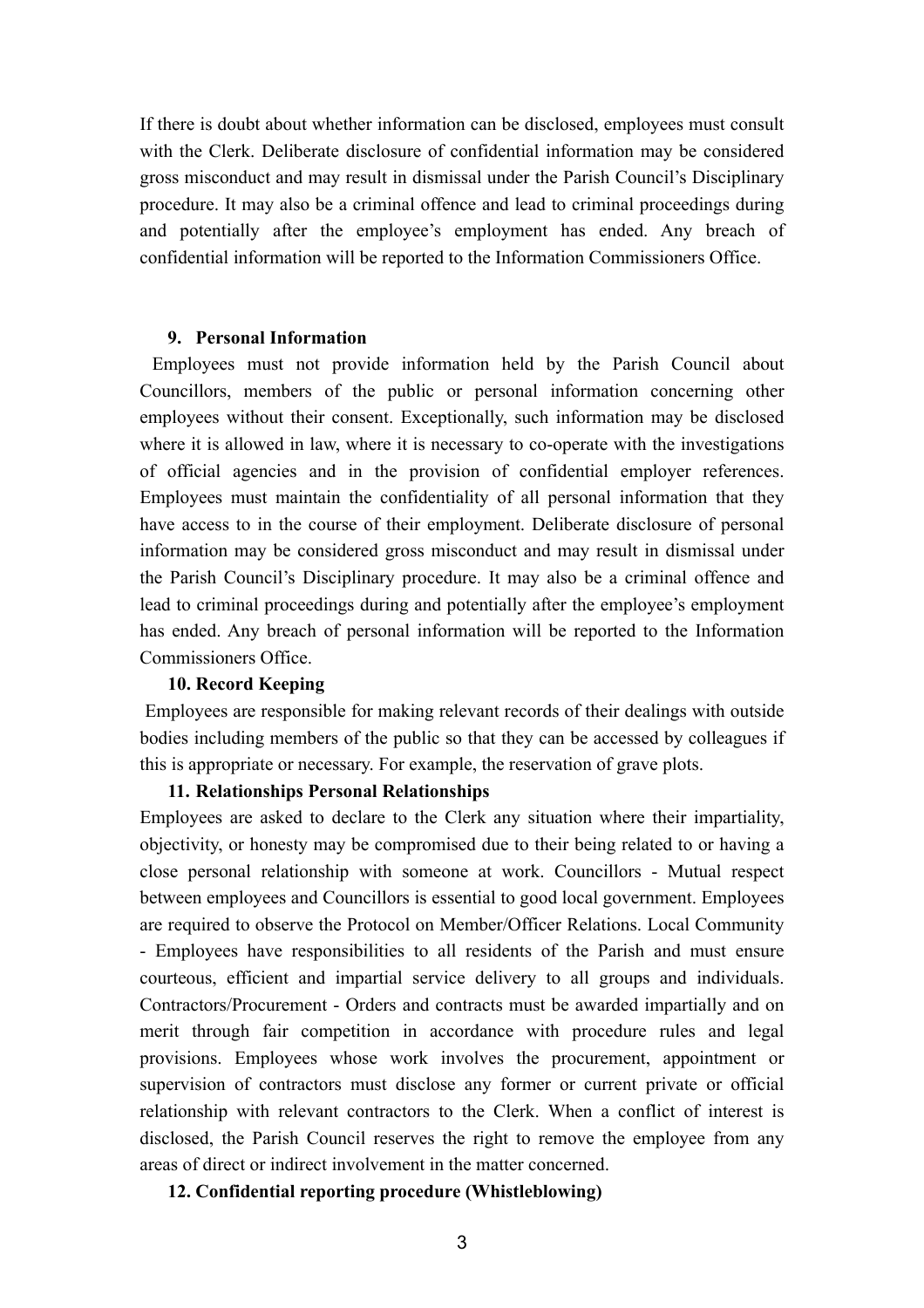If there is doubt about whether information can be disclosed, employees must consult with the Clerk. Deliberate disclosure of confidential information may be considered gross misconduct and may result in dismissal under the Parish Council's Disciplinary procedure. It may also be a criminal offence and lead to criminal proceedings during and potentially after the employee's employment has ended. Any breach of confidential information will be reported to the Information Commissioners Office.

### **9. Personal Information**

 Employees must not provide information held by the Parish Council about Councillors, members of the public or personal information concerning other employees without their consent. Exceptionally, such information may be disclosed where it is allowed in law, where it is necessary to co-operate with the investigations of official agencies and in the provision of confidential employer references. Employees must maintain the confidentiality of all personal information that they have access to in the course of their employment. Deliberate disclosure of personal information may be considered gross misconduct and may result in dismissal under the Parish Council's Disciplinary procedure. It may also be a criminal offence and lead to criminal proceedings during and potentially after the employee's employment has ended. Any breach of personal information will be reported to the Information Commissioners Office.

#### **10. Record Keeping**

 Employees are responsible for making relevant records of their dealings with outside bodies including members of the public so that they can be accessed by colleagues if this is appropriate or necessary. For example, the reservation of grave plots.

### **11. Relationships Personal Relationships**

Employees are asked to declare to the Clerk any situation where their impartiality, objectivity, or honesty may be compromised due to their being related to or having a close personal relationship with someone at work. Councillors - Mutual respect between employees and Councillors is essential to good local government. Employees are required to observe the Protocol on Member/Officer Relations. Local Community - Employees have responsibilities to all residents of the Parish and must ensure courteous, efficient and impartial service delivery to all groups and individuals. Contractors/Procurement - Orders and contracts must be awarded impartially and on merit through fair competition in accordance with procedure rules and legal provisions. Employees whose work involves the procurement, appointment or supervision of contractors must disclose any former or current private or official relationship with relevant contractors to the Clerk. When a conflict of interest is disclosed, the Parish Council reserves the right to remove the employee from any areas of direct or indirect involvement in the matter concerned.

#### **12. Confidential reporting procedure (Whistleblowing)**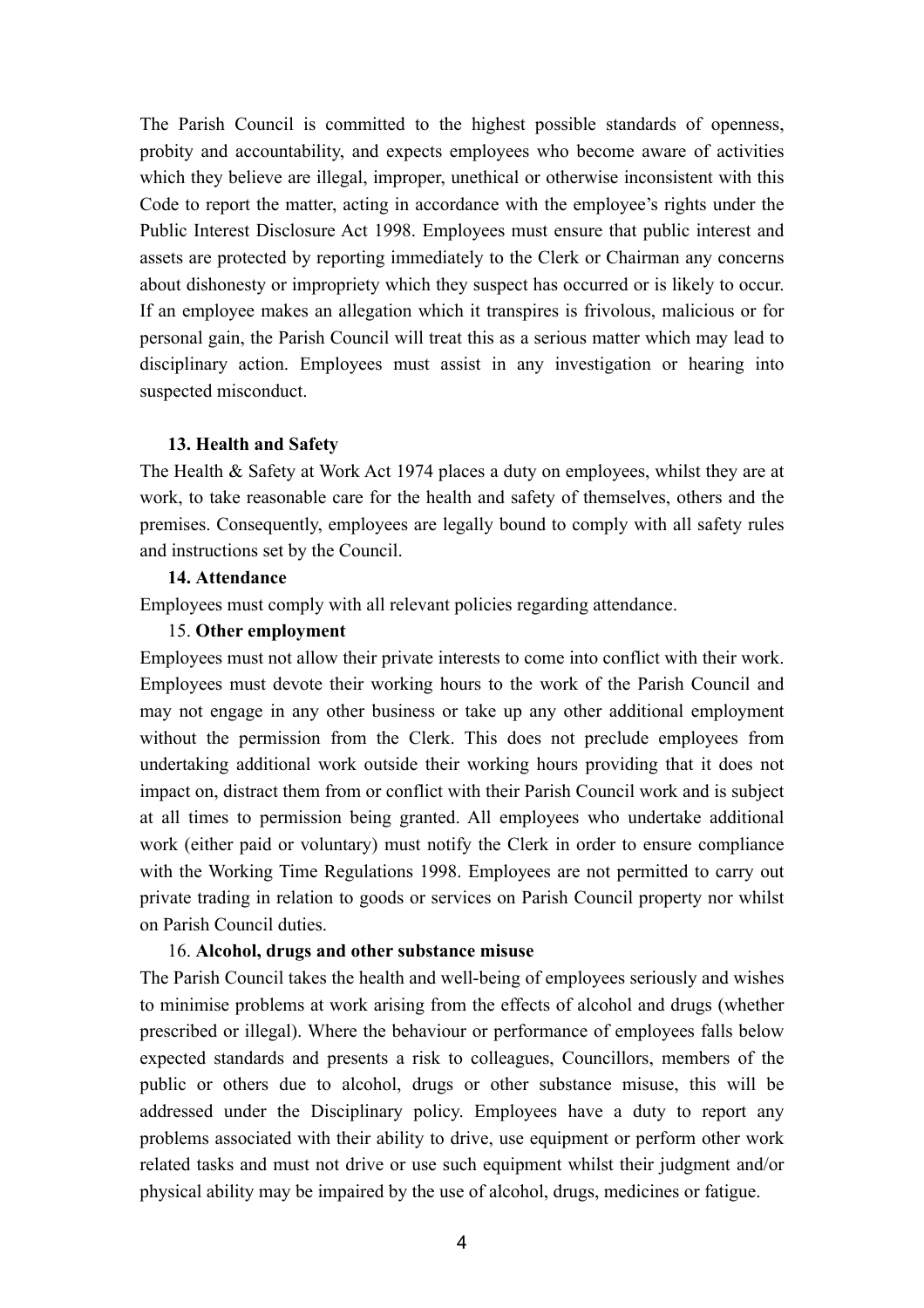The Parish Council is committed to the highest possible standards of openness, probity and accountability, and expects employees who become aware of activities which they believe are illegal, improper, unethical or otherwise inconsistent with this Code to report the matter, acting in accordance with the employee's rights under the Public Interest Disclosure Act 1998. Employees must ensure that public interest and assets are protected by reporting immediately to the Clerk or Chairman any concerns about dishonesty or impropriety which they suspect has occurred or is likely to occur. If an employee makes an allegation which it transpires is frivolous, malicious or for personal gain, the Parish Council will treat this as a serious matter which may lead to disciplinary action. Employees must assist in any investigation or hearing into suspected misconduct.

#### **13. Health and Safety**

The Health & Safety at Work Act 1974 places a duty on employees, whilst they are at work, to take reasonable care for the health and safety of themselves, others and the premises. Consequently, employees are legally bound to comply with all safety rules and instructions set by the Council.

## **14. Attendance**

Employees must comply with all relevant policies regarding attendance.

### 15. **Other employment**

Employees must not allow their private interests to come into conflict with their work. Employees must devote their working hours to the work of the Parish Council and may not engage in any other business or take up any other additional employment without the permission from the Clerk. This does not preclude employees from undertaking additional work outside their working hours providing that it does not impact on, distract them from or conflict with their Parish Council work and is subject at all times to permission being granted. All employees who undertake additional work (either paid or voluntary) must notify the Clerk in order to ensure compliance with the Working Time Regulations 1998. Employees are not permitted to carry out private trading in relation to goods or services on Parish Council property nor whilst on Parish Council duties.

#### 16. **Alcohol, drugs and other substance misuse**

The Parish Council takes the health and well-being of employees seriously and wishes to minimise problems at work arising from the effects of alcohol and drugs (whether prescribed or illegal). Where the behaviour or performance of employees falls below expected standards and presents a risk to colleagues, Councillors, members of the public or others due to alcohol, drugs or other substance misuse, this will be addressed under the Disciplinary policy. Employees have a duty to report any problems associated with their ability to drive, use equipment or perform other work related tasks and must not drive or use such equipment whilst their judgment and/or physical ability may be impaired by the use of alcohol, drugs, medicines or fatigue.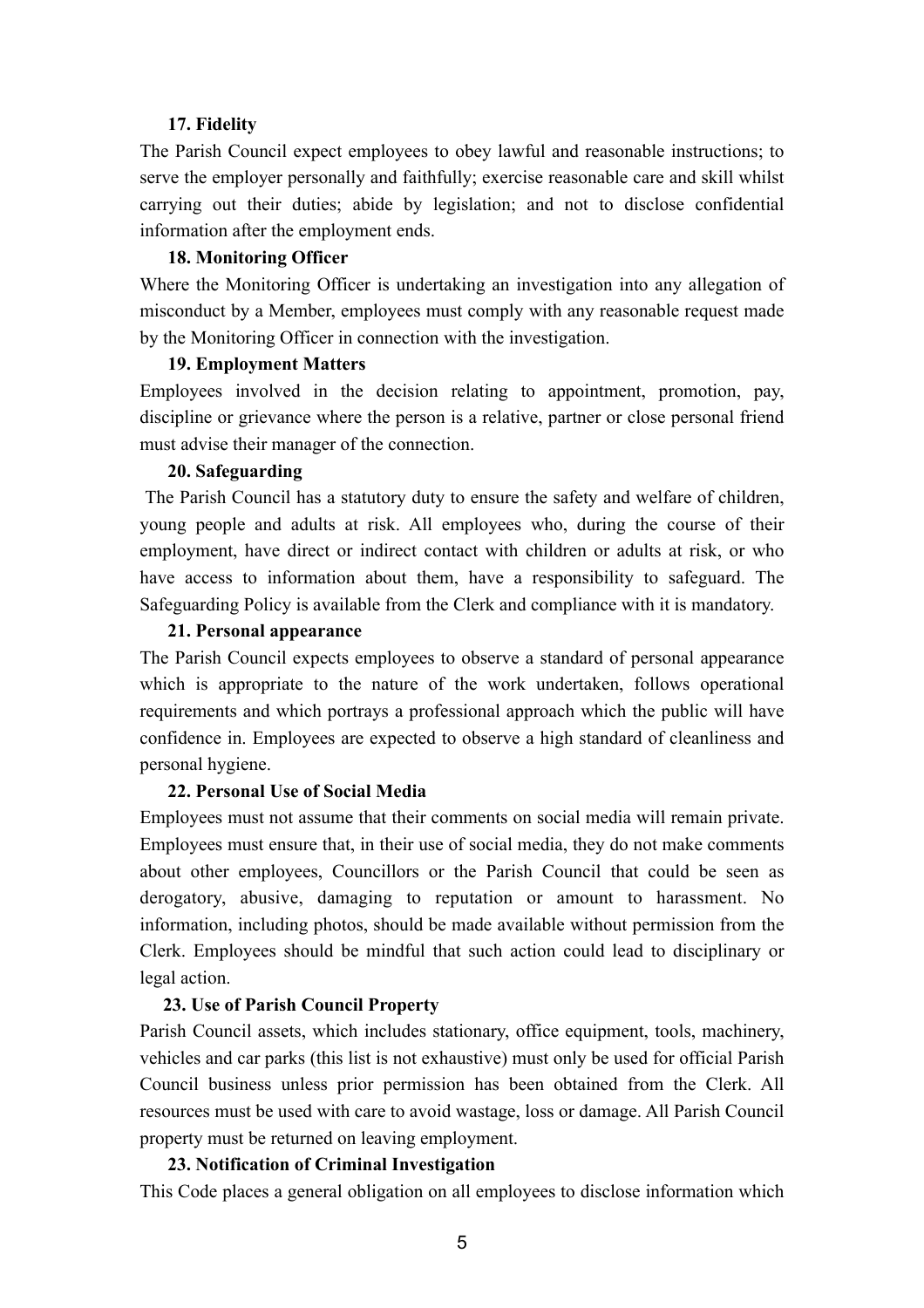### **17. Fidelity**

The Parish Council expect employees to obey lawful and reasonable instructions; to serve the employer personally and faithfully; exercise reasonable care and skill whilst carrying out their duties; abide by legislation; and not to disclose confidential information after the employment ends.

#### **18. Monitoring Officer**

Where the Monitoring Officer is undertaking an investigation into any allegation of misconduct by a Member, employees must comply with any reasonable request made by the Monitoring Officer in connection with the investigation.

#### **19. Employment Matters**

Employees involved in the decision relating to appointment, promotion, pay, discipline or grievance where the person is a relative, partner or close personal friend must advise their manager of the connection.

### **20. Safeguarding**

 The Parish Council has a statutory duty to ensure the safety and welfare of children, young people and adults at risk. All employees who, during the course of their employment, have direct or indirect contact with children or adults at risk, or who have access to information about them, have a responsibility to safeguard. The Safeguarding Policy is available from the Clerk and compliance with it is mandatory.

#### **21. Personal appearance**

The Parish Council expects employees to observe a standard of personal appearance which is appropriate to the nature of the work undertaken, follows operational requirements and which portrays a professional approach which the public will have confidence in. Employees are expected to observe a high standard of cleanliness and personal hygiene.

### **22. Personal Use of Social Media**

Employees must not assume that their comments on social media will remain private. Employees must ensure that, in their use of social media, they do not make comments about other employees, Councillors or the Parish Council that could be seen as derogatory, abusive, damaging to reputation or amount to harassment. No information, including photos, should be made available without permission from the Clerk. Employees should be mindful that such action could lead to disciplinary or legal action.

### **23. Use of Parish Council Property**

Parish Council assets, which includes stationary, office equipment, tools, machinery, vehicles and car parks (this list is not exhaustive) must only be used for official Parish Council business unless prior permission has been obtained from the Clerk. All resources must be used with care to avoid wastage, loss or damage. All Parish Council property must be returned on leaving employment.

### **23. Notification of Criminal Investigation**

This Code places a general obligation on all employees to disclose information which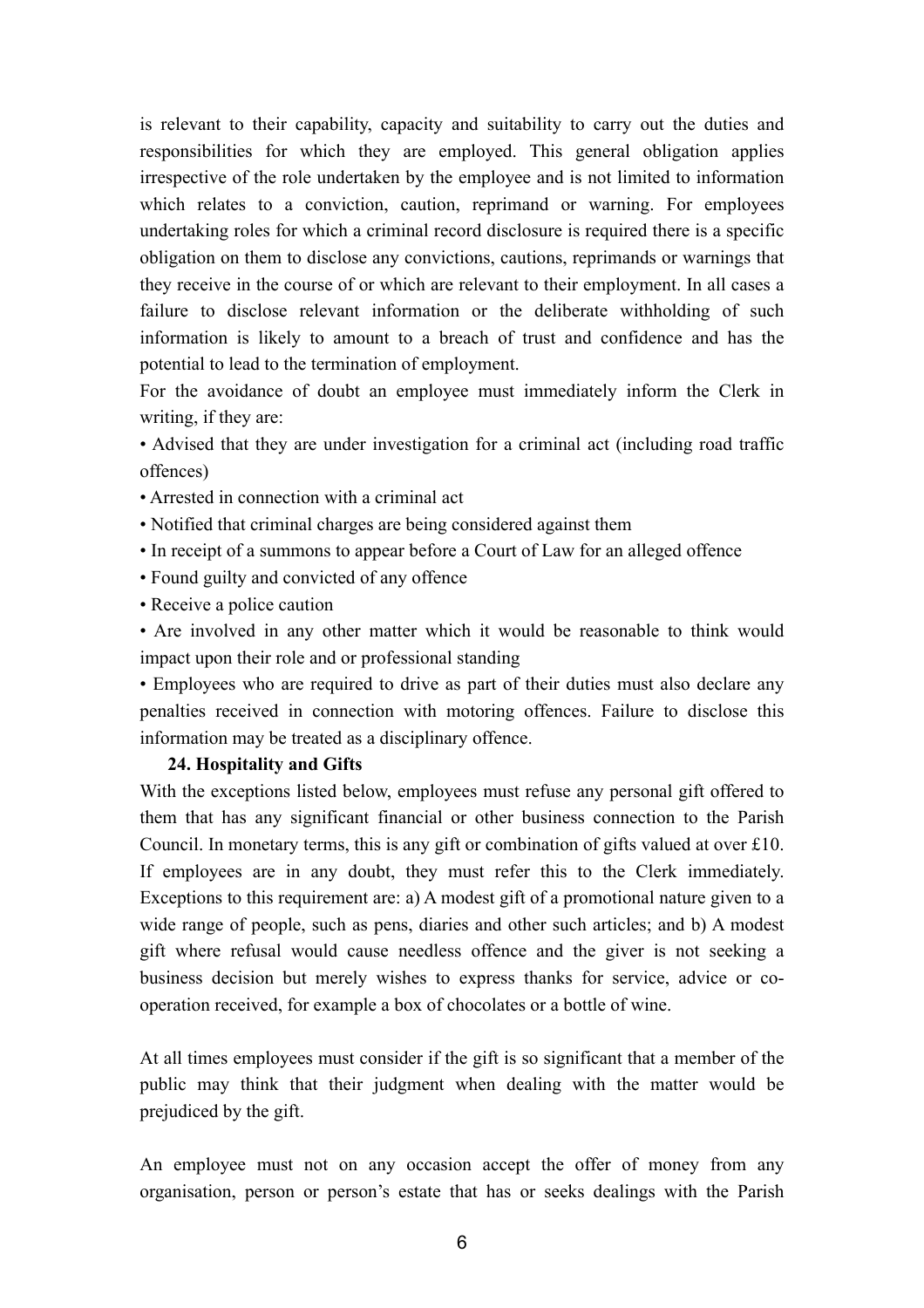is relevant to their capability, capacity and suitability to carry out the duties and responsibilities for which they are employed. This general obligation applies irrespective of the role undertaken by the employee and is not limited to information which relates to a conviction, caution, reprimand or warning. For employees undertaking roles for which a criminal record disclosure is required there is a specific obligation on them to disclose any convictions, cautions, reprimands or warnings that they receive in the course of or which are relevant to their employment. In all cases a failure to disclose relevant information or the deliberate withholding of such information is likely to amount to a breach of trust and confidence and has the potential to lead to the termination of employment.

For the avoidance of doubt an employee must immediately inform the Clerk in writing, if they are:

• Advised that they are under investigation for a criminal act (including road traffic offences)

- Arrested in connection with a criminal act
- Notified that criminal charges are being considered against them
- In receipt of a summons to appear before a Court of Law for an alleged offence
- Found guilty and convicted of any offence
- Receive a police caution

• Are involved in any other matter which it would be reasonable to think would impact upon their role and or professional standing

• Employees who are required to drive as part of their duties must also declare any penalties received in connection with motoring offences. Failure to disclose this information may be treated as a disciplinary offence.

### **24. Hospitality and Gifts**

With the exceptions listed below, employees must refuse any personal gift offered to them that has any significant financial or other business connection to the Parish Council. In monetary terms, this is any gift or combination of gifts valued at over £10. If employees are in any doubt, they must refer this to the Clerk immediately. Exceptions to this requirement are: a) A modest gift of a promotional nature given to a wide range of people, such as pens, diaries and other such articles; and b) A modest gift where refusal would cause needless offence and the giver is not seeking a business decision but merely wishes to express thanks for service, advice or cooperation received, for example a box of chocolates or a bottle of wine.

At all times employees must consider if the gift is so significant that a member of the public may think that their judgment when dealing with the matter would be prejudiced by the gift.

An employee must not on any occasion accept the offer of money from any organisation, person or person's estate that has or seeks dealings with the Parish